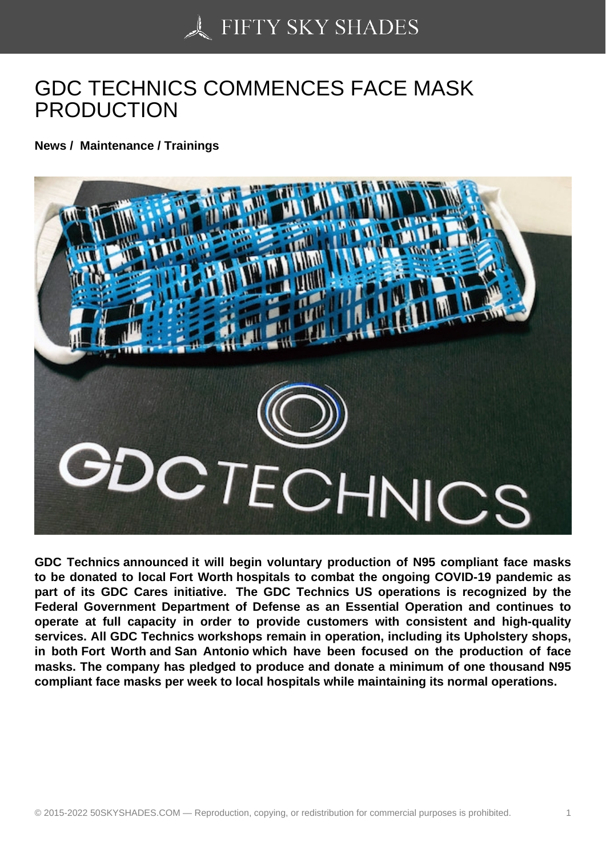## [GDC TECHNICS COM](https://50skyshades.com)MENCES FACE MASK PRODUCTION

News / Maintenance / Trainings

GDC Technics announced it will begin voluntary production of N95 compliant face masks to be donated to local Fort Worth hospitals to combat the ongoing COVID-19 pandemic as part of its GDC Cares initiative. The GDC Technics US operations is recognized by the Federal Government Department of Defense as an Essential Operation and continues to operate at full capacity in order to provide customers with consistent and high-quality services. All GDC Technics workshops remain in operation, including its Upholstery shops, in both Fort Worth and San Antonio which have been focused on the production of face masks. The company has pledged to produce and donate a minimum of one thousand N95 compliant face masks per week to local hospitals while maintaining its normal operations.